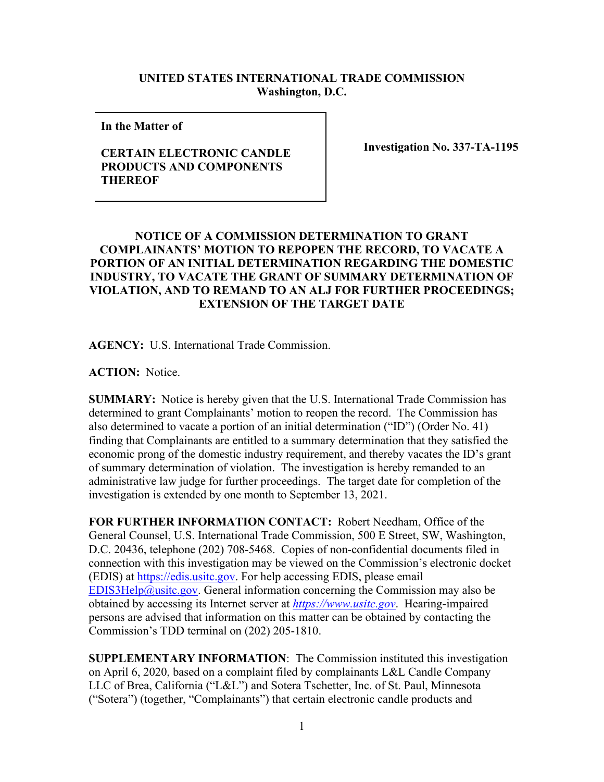## **UNITED STATES INTERNATIONAL TRADE COMMISSION Washington, D.C.**

**In the Matter of** 

## **CERTAIN ELECTRONIC CANDLE PRODUCTS AND COMPONENTS THEREOF**

**Investigation No. 337-TA-1195**

## **NOTICE OF A COMMISSION DETERMINATION TO GRANT COMPLAINANTS' MOTION TO REPOPEN THE RECORD, TO VACATE A PORTION OF AN INITIAL DETERMINATION REGARDING THE DOMESTIC INDUSTRY, TO VACATE THE GRANT OF SUMMARY DETERMINATION OF VIOLATION, AND TO REMAND TO AN ALJ FOR FURTHER PROCEEDINGS; EXTENSION OF THE TARGET DATE**

**AGENCY:** U.S. International Trade Commission.

**ACTION:** Notice.

**SUMMARY:** Notice is hereby given that the U.S. International Trade Commission has determined to grant Complainants' motion to reopen the record. The Commission has also determined to vacate a portion of an initial determination ("ID") (Order No. 41) finding that Complainants are entitled to a summary determination that they satisfied the economic prong of the domestic industry requirement, and thereby vacates the ID's grant of summary determination of violation. The investigation is hereby remanded to an administrative law judge for further proceedings. The target date for completion of the investigation is extended by one month to September 13, 2021.

**FOR FURTHER INFORMATION CONTACT:** Robert Needham, Office of the General Counsel, U.S. International Trade Commission, 500 E Street, SW, Washington, D.C. 20436, telephone (202) 708-5468. Copies of non-confidential documents filed in connection with this investigation may be viewed on the Commission's electronic docket (EDIS) at [https://edis.usitc.gov.](https://edis.usitc.gov/) For help accessing EDIS, please email [EDIS3Help@usitc.gov.](mailto:EDIS3Help@usitc.gov) General information concerning the Commission may also be obtained by accessing its Internet server at *[https://www.usitc.gov](https://www.usitc.gov/)*. Hearing-impaired persons are advised that information on this matter can be obtained by contacting the Commission's TDD terminal on (202) 205-1810.

**SUPPLEMENTARY INFORMATION**: The Commission instituted this investigation on April 6, 2020, based on a complaint filed by complainants L&L Candle Company LLC of Brea, California ("L&L") and Sotera Tschetter, Inc. of St. Paul, Minnesota ("Sotera") (together, "Complainants") that certain electronic candle products and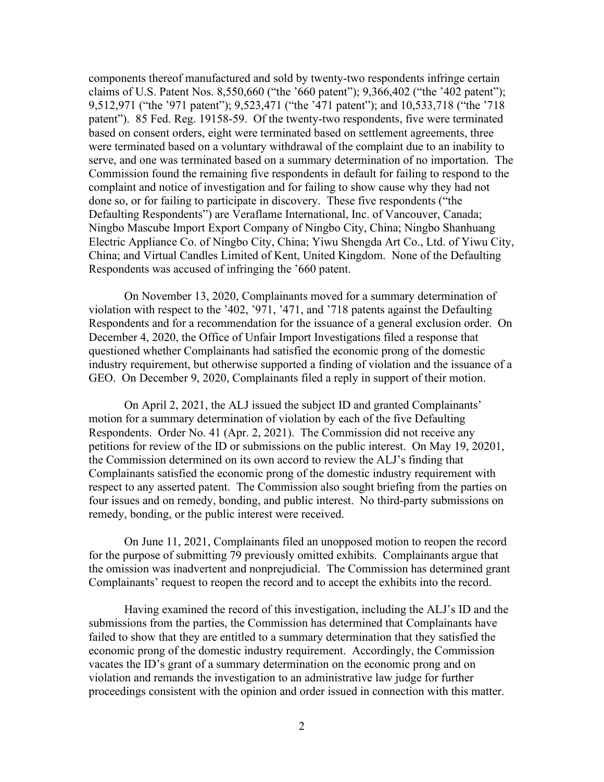components thereof manufactured and sold by twenty-two respondents infringe certain claims of U.S. Patent Nos. 8,550,660 ("the '660 patent"); 9,366,402 ("the '402 patent"); 9,512,971 ("the '971 patent"); 9,523,471 ("the '471 patent"); and 10,533,718 ("the '718 patent"). 85 Fed. Reg. 19158-59. Of the twenty-two respondents, five were terminated based on consent orders, eight were terminated based on settlement agreements, three were terminated based on a voluntary withdrawal of the complaint due to an inability to serve, and one was terminated based on a summary determination of no importation. The Commission found the remaining five respondents in default for failing to respond to the complaint and notice of investigation and for failing to show cause why they had not done so, or for failing to participate in discovery. These five respondents ("the Defaulting Respondents") are Veraflame International, Inc. of Vancouver, Canada; Ningbo Mascube Import Export Company of Ningbo City, China; Ningbo Shanhuang Electric Appliance Co. of Ningbo City, China; Yiwu Shengda Art Co., Ltd. of Yiwu City, China; and Virtual Candles Limited of Kent, United Kingdom. None of the Defaulting Respondents was accused of infringing the '660 patent.

On November 13, 2020, Complainants moved for a summary determination of violation with respect to the '402, '971, '471, and '718 patents against the Defaulting Respondents and for a recommendation for the issuance of a general exclusion order. On December 4, 2020, the Office of Unfair Import Investigations filed a response that questioned whether Complainants had satisfied the economic prong of the domestic industry requirement, but otherwise supported a finding of violation and the issuance of a GEO. On December 9, 2020, Complainants filed a reply in support of their motion.

On April 2, 2021, the ALJ issued the subject ID and granted Complainants' motion for a summary determination of violation by each of the five Defaulting Respondents. Order No. 41 (Apr. 2, 2021). The Commission did not receive any petitions for review of the ID or submissions on the public interest. On May 19, 20201, the Commission determined on its own accord to review the ALJ's finding that Complainants satisfied the economic prong of the domestic industry requirement with respect to any asserted patent. The Commission also sought briefing from the parties on four issues and on remedy, bonding, and public interest. No third-party submissions on remedy, bonding, or the public interest were received.

On June 11, 2021, Complainants filed an unopposed motion to reopen the record for the purpose of submitting 79 previously omitted exhibits. Complainants argue that the omission was inadvertent and nonprejudicial. The Commission has determined grant Complainants' request to reopen the record and to accept the exhibits into the record.

Having examined the record of this investigation, including the ALJ's ID and the submissions from the parties, the Commission has determined that Complainants have failed to show that they are entitled to a summary determination that they satisfied the economic prong of the domestic industry requirement. Accordingly, the Commission vacates the ID's grant of a summary determination on the economic prong and on violation and remands the investigation to an administrative law judge for further proceedings consistent with the opinion and order issued in connection with this matter.